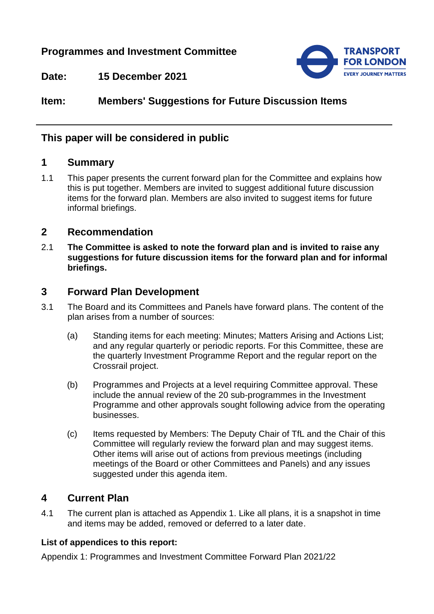# **Programmes and Investment Committee**



**Date: 15 December 2021**

# **Item: Members' Suggestions for Future Discussion Items**

## **This paper will be considered in public**

#### **1 Summary**

1.1 This paper presents the current forward plan for the Committee and explains how this is put together. Members are invited to suggest additional future discussion items for the forward plan. Members are also invited to suggest items for future informal briefings.

#### **2 Recommendation**

2.1 **The Committee is asked to note the forward plan and is invited to raise any suggestions for future discussion items for the forward plan and for informal briefings.**

### **3 Forward Plan Development**

- 3.1 The Board and its Committees and Panels have forward plans. The content of the plan arises from a number of sources:
	- (a) Standing items for each meeting: Minutes; Matters Arising and Actions List; and any regular quarterly or periodic reports. For this Committee, these are the quarterly Investment Programme Report and the regular report on the Crossrail project.
	- (b) Programmes and Projects at a level requiring Committee approval. These include the annual review of the 20 sub-programmes in the Investment Programme and other approvals sought following advice from the operating businesses.
	- (c) Items requested by Members: The Deputy Chair of TfL and the Chair of this Committee will regularly review the forward plan and may suggest items. Other items will arise out of actions from previous meetings (including meetings of the Board or other Committees and Panels) and any issues suggested under this agenda item.

## **4 Current Plan**

4.1 The current plan is attached as Appendix 1. Like all plans, it is a snapshot in time and items may be added, removed or deferred to a later date.

#### **List of appendices to this report:**

Appendix 1: Programmes and Investment Committee Forward Plan 2021/22